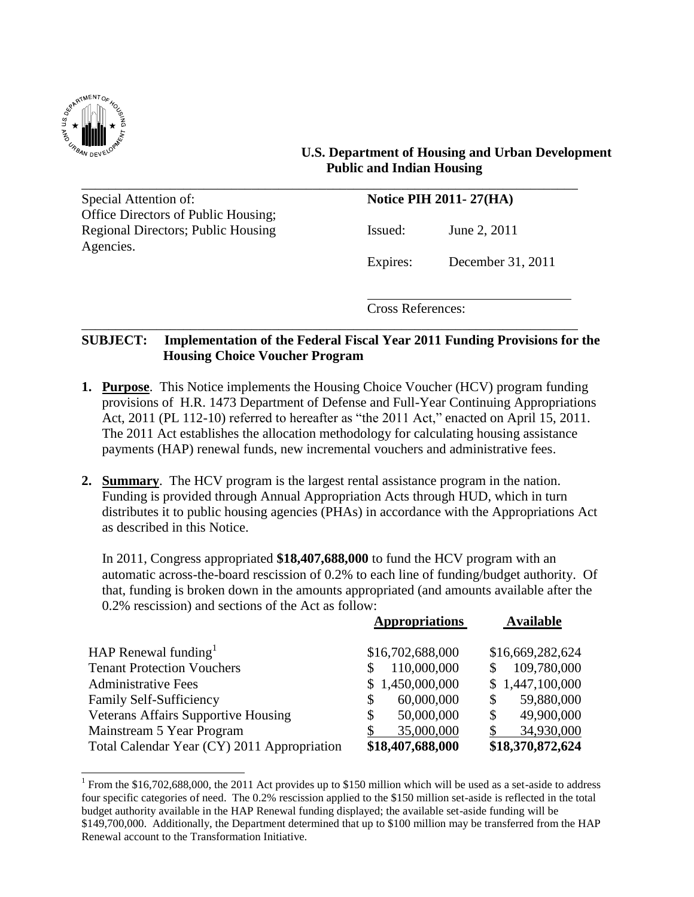

 $\overline{a}$ 

### **U.S. Department of Housing and Urban Development Public and Indian Housing**

\_\_\_\_\_\_\_\_\_\_\_\_\_\_\_\_\_\_\_\_\_\_\_\_\_\_\_\_\_\_\_\_\_\_\_\_\_\_\_\_\_\_\_\_\_\_\_\_\_\_\_\_\_\_\_\_\_\_\_\_\_\_\_\_\_\_\_\_\_\_\_\_\_ Special Attention of: **Notice PIH 2011-27(HA)** Office Directors of Public Housing; Regional Directors; Public Housing Issued: June 2, 2011 Agencies.

Expires: December 31, 2011

Cross References:

### **SUBJECT: Implementation of the Federal Fiscal Year 2011 Funding Provisions for the Housing Choice Voucher Program**

\_\_\_\_\_\_\_\_\_\_\_\_\_\_\_\_\_\_\_\_\_\_\_\_\_\_\_\_\_\_\_\_\_\_\_\_\_\_\_\_\_\_\_\_\_\_\_\_\_\_\_\_\_\_\_\_\_\_\_\_\_\_\_\_\_\_\_\_\_\_\_\_\_

- **1. Purpose**. This Notice implements the Housing Choice Voucher (HCV) program funding provisions of H.R. 1473 Department of Defense and Full-Year Continuing Appropriations Act, 2011 (PL 112-10) referred to hereafter as "the 2011 Act," enacted on April 15, 2011. The 2011 Act establishes the allocation methodology for calculating housing assistance payments (HAP) renewal funds, new incremental vouchers and administrative fees.
- **2. Summary**. The HCV program is the largest rental assistance program in the nation. Funding is provided through Annual Appropriation Acts through HUD, which in turn distributes it to public housing agencies (PHAs) in accordance with the Appropriations Act as described in this Notice.

In 2011, Congress appropriated **\$18,407,688,000** to fund the HCV program with an automatic across-the-board rescission of 0.2% to each line of funding/budget authority. Of that, funding is broken down in the amounts appropriated (and amounts available after the 0.2% rescission) and sections of the Act as follow:

|                                             | <b>Appropriations</b> | <b>Available</b> |
|---------------------------------------------|-----------------------|------------------|
|                                             |                       |                  |
| HAP Renewal funding                         | \$16,702,688,000      | \$16,669,282,624 |
| <b>Tenant Protection Vouchers</b>           | 110,000,000           | 109,780,000      |
| <b>Administrative Fees</b>                  | \$1,450,000,000       | \$1,447,100,000  |
| Family Self-Sufficiency                     | 60,000,000            | 59,880,000<br>\$ |
| <b>Veterans Affairs Supportive Housing</b>  | 50,000,000<br>S       | 49,900,000<br>\$ |
| Mainstream 5 Year Program                   | 35,000,000            | 34,930,000       |
| Total Calendar Year (CY) 2011 Appropriation | \$18,407,688,000      | \$18,370,872,624 |

<sup>&</sup>lt;sup>1</sup> From the \$16,702,688,000, the 2011 Act provides up to \$150 million which will be used as a set-aside to address four specific categories of need. The 0.2% rescission applied to the \$150 million set-aside is reflected in the total budget authority available in the HAP Renewal funding displayed; the available set-aside funding will be \$149,700,000. Additionally, the Department determined that up to \$100 million may be transferred from the HAP Renewal account to the Transformation Initiative.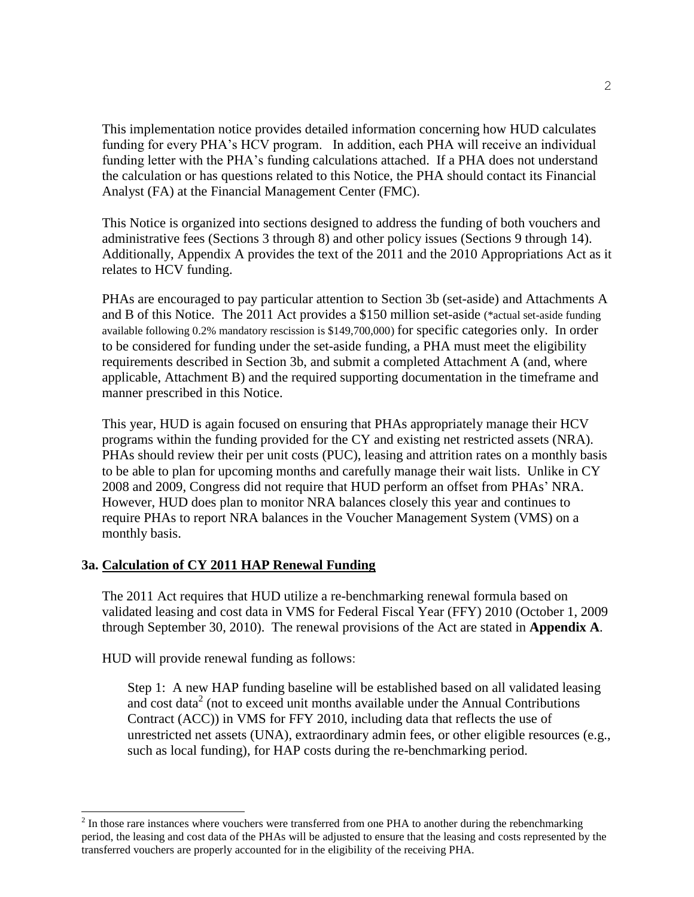This implementation notice provides detailed information concerning how HUD calculates funding for every PHA's HCV program. In addition, each PHA will receive an individual funding letter with the PHA's funding calculations attached. If a PHA does not understand the calculation or has questions related to this Notice, the PHA should contact its Financial Analyst (FA) at the Financial Management Center (FMC).

This Notice is organized into sections designed to address the funding of both vouchers and administrative fees (Sections 3 through 8) and other policy issues (Sections 9 through 14). Additionally, Appendix A provides the text of the 2011 and the 2010 Appropriations Act as it relates to HCV funding.

PHAs are encouraged to pay particular attention to Section 3b (set-aside) and Attachments A and B of this Notice. The 2011 Act provides a \$150 million set-aside (\*actual set-aside funding available following 0.2% mandatory rescission is \$149,700,000) for specific categories only. In order to be considered for funding under the set-aside funding, a PHA must meet the eligibility requirements described in Section 3b, and submit a completed Attachment A (and, where applicable, Attachment B) and the required supporting documentation in the timeframe and manner prescribed in this Notice.

This year, HUD is again focused on ensuring that PHAs appropriately manage their HCV programs within the funding provided for the CY and existing net restricted assets (NRA). PHAs should review their per unit costs (PUC), leasing and attrition rates on a monthly basis to be able to plan for upcoming months and carefully manage their wait lists. Unlike in CY 2008 and 2009, Congress did not require that HUD perform an offset from PHAs' NRA. However, HUD does plan to monitor NRA balances closely this year and continues to require PHAs to report NRA balances in the Voucher Management System (VMS) on a monthly basis.

### **3a. Calculation of CY 2011 HAP Renewal Funding**

The 2011 Act requires that HUD utilize a re-benchmarking renewal formula based on validated leasing and cost data in VMS for Federal Fiscal Year (FFY) 2010 (October 1, 2009 through September 30, 2010). The renewal provisions of the Act are stated in **Appendix A**.

HUD will provide renewal funding as follows:

l

Step 1: A new HAP funding baseline will be established based on all validated leasing and cost data<sup>2</sup> (not to exceed unit months available under the Annual Contributions Contract (ACC)) in VMS for FFY 2010, including data that reflects the use of unrestricted net assets (UNA), extraordinary admin fees, or other eligible resources (e.g., such as local funding), for HAP costs during the re-benchmarking period.

 $2<sup>2</sup>$  In those rare instances where vouchers were transferred from one PHA to another during the rebenchmarking period, the leasing and cost data of the PHAs will be adjusted to ensure that the leasing and costs represented by the transferred vouchers are properly accounted for in the eligibility of the receiving PHA.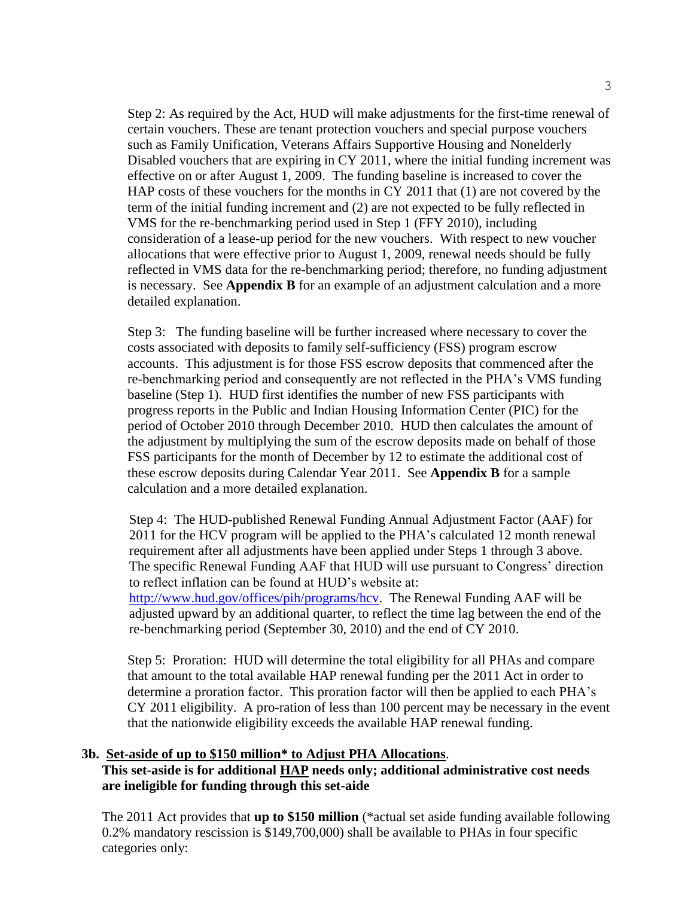Step 2: As required by the Act, HUD will make adjustments for the first-time renewal of certain vouchers. These are tenant protection vouchers and special purpose vouchers such as Family Unification, Veterans Affairs Supportive Housing and Nonelderly Disabled vouchers that are expiring in CY 2011, where the initial funding increment was effective on or after August 1, 2009. The funding baseline is increased to cover the HAP costs of these vouchers for the months in CY 2011 that (1) are not covered by the term of the initial funding increment and (2) are not expected to be fully reflected in VMS for the re-benchmarking period used in Step 1 (FFY 2010), including consideration of a lease-up period for the new vouchers. With respect to new voucher allocations that were effective prior to August 1, 2009, renewal needs should be fully reflected in VMS data for the re-benchmarking period; therefore, no funding adjustment is necessary. See **Appendix B** for an example of an adjustment calculation and a more detailed explanation.

Step 3: The funding baseline will be further increased where necessary to cover the costs associated with deposits to family self-sufficiency (FSS) program escrow accounts. This adjustment is for those FSS escrow deposits that commenced after the re-benchmarking period and consequently are not reflected in the PHA's VMS funding baseline (Step 1). HUD first identifies the number of new FSS participants with progress reports in the Public and Indian Housing Information Center (PIC) for the period of October 2010 through December 2010. HUD then calculates the amount of the adjustment by multiplying the sum of the escrow deposits made on behalf of those FSS participants for the month of December by 12 to estimate the additional cost of these escrow deposits during Calendar Year 2011. See **Appendix B** for a sample calculation and a more detailed explanation.

 Step 4: The HUD-published Renewal Funding Annual Adjustment Factor (AAF) for 2011 for the HCV program will be applied to the PHA's calculated 12 month renewal requirement after all adjustments have been applied under Steps 1 through 3 above. The specific Renewal Funding AAF that HUD will use pursuant to Congress' direction to reflect inflation can be found at HUD's website at: [http://www.hud.gov/offices/pih/programs/hcv.](http://www.hud.gov/offices/pih/programs/hcv) The Renewal Funding AAF will be adjusted upward by an additional quarter, to reflect the time lag between the end of the re-benchmarking period (September 30, 2010) and the end of CY 2010.

 Step 5: Proration: HUD will determine the total eligibility for all PHAs and compare that amount to the total available HAP renewal funding per the 2011 Act in order to determine a proration factor. This proration factor will then be applied to each PHA's CY 2011 eligibility. A pro-ration of less than 100 percent may be necessary in the event that the nationwide eligibility exceeds the available HAP renewal funding.

#### **3b. Set-aside of up to \$150 million\* to Adjust PHA Allocations**. **This set-aside is for additional HAP needs only; additional administrative cost needs are ineligible for funding through this set-aide**

The 2011 Act provides that **up to \$150 million** (\*actual set aside funding available following 0.2% mandatory rescission is \$149,700,000) shall be available to PHAs in four specific categories only: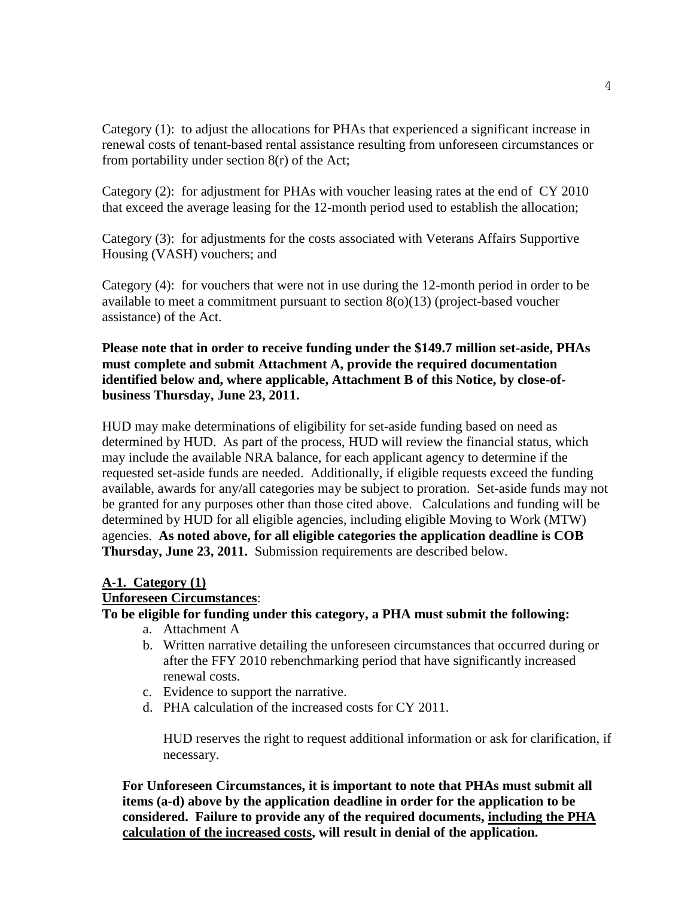Category (1): to adjust the allocations for PHAs that experienced a significant increase in renewal costs of tenant-based rental assistance resulting from unforeseen circumstances or from portability under section 8(r) of the Act;

Category (2): for adjustment for PHAs with voucher leasing rates at the end of CY 2010 that exceed the average leasing for the 12-month period used to establish the allocation;

Category (3): for adjustments for the costs associated with Veterans Affairs Supportive Housing (VASH) vouchers; and

Category (4): for vouchers that were not in use during the 12-month period in order to be available to meet a commitment pursuant to section 8(o)(13) (project-based voucher assistance) of the Act.

### **Please note that in order to receive funding under the \$149.7 million set-aside, PHAs must complete and submit Attachment A, provide the required documentation identified below and, where applicable, Attachment B of this Notice, by close-ofbusiness Thursday, June 23, 2011.**

HUD may make determinations of eligibility for set-aside funding based on need as determined by HUD. As part of the process, HUD will review the financial status, which may include the available NRA balance, for each applicant agency to determine if the requested set-aside funds are needed. Additionally, if eligible requests exceed the funding available, awards for any/all categories may be subject to proration. Set-aside funds may not be granted for any purposes other than those cited above. Calculations and funding will be determined by HUD for all eligible agencies, including eligible Moving to Work (MTW) agencies. **As noted above, for all eligible categories the application deadline is COB Thursday, June 23, 2011.** Submission requirements are described below.

### **A-1. Category (1)**

### **Unforeseen Circumstances**:

# **To be eligible for funding under this category, a PHA must submit the following:**

- a. Attachment A
- b. Written narrative detailing the unforeseen circumstances that occurred during or after the FFY 2010 rebenchmarking period that have significantly increased renewal costs.
- c. Evidence to support the narrative.
- d. PHA calculation of the increased costs for CY 2011.

HUD reserves the right to request additional information or ask for clarification, if necessary.

**For Unforeseen Circumstances, it is important to note that PHAs must submit all items (a-d) above by the application deadline in order for the application to be considered. Failure to provide any of the required documents, including the PHA calculation of the increased costs, will result in denial of the application.**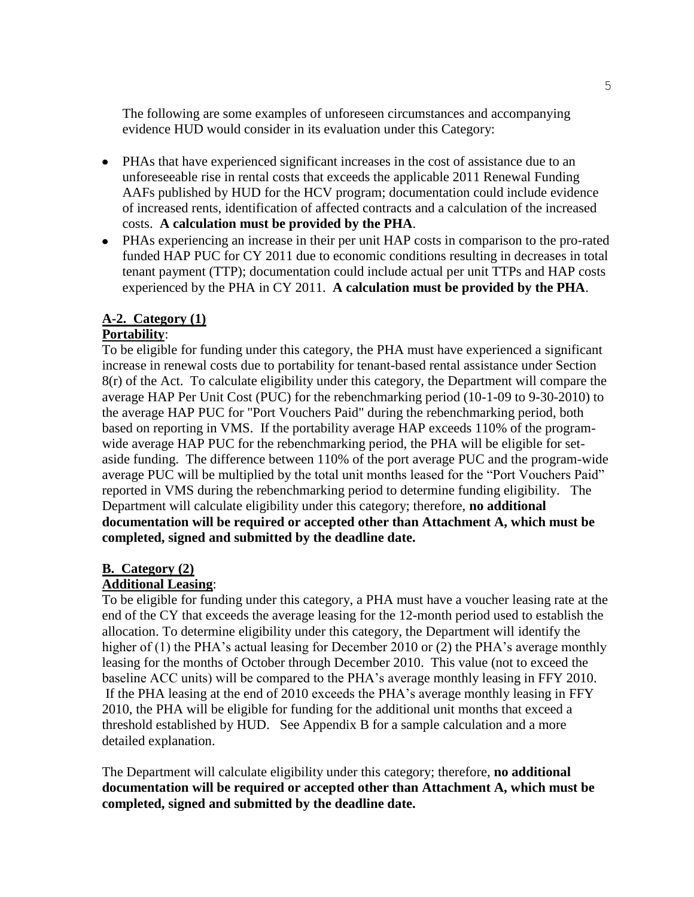The following are some examples of unforeseen circumstances and accompanying evidence HUD would consider in its evaluation under this Category:

- PHAs that have experienced significant increases in the cost of assistance due to an unforeseeable rise in rental costs that exceeds the applicable 2011 Renewal Funding AAFs published by HUD for the HCV program; documentation could include evidence of increased rents, identification of affected contracts and a calculation of the increased costs. **A calculation must be provided by the PHA**.
- PHAs experiencing an increase in their per unit HAP costs in comparison to the pro-rated funded HAP PUC for CY 2011 due to economic conditions resulting in decreases in total tenant payment (TTP); documentation could include actual per unit TTPs and HAP costs experienced by the PHA in CY 2011. **A calculation must be provided by the PHA**.

### **A-2. Category (1)**

# **Portability**:

To be eligible for funding under this category, the PHA must have experienced a significant increase in renewal costs due to portability for tenant-based rental assistance under Section 8(r) of the Act. To calculate eligibility under this category, the Department will compare the average HAP Per Unit Cost (PUC) for the rebenchmarking period (10-1-09 to 9-30-2010) to the average HAP PUC for "Port Vouchers Paid" during the rebenchmarking period, both based on reporting in VMS. If the portability average HAP exceeds 110% of the programwide average HAP PUC for the rebenchmarking period, the PHA will be eligible for setaside funding. The difference between 110% of the port average PUC and the program-wide average PUC will be multiplied by the total unit months leased for the "Port Vouchers Paid" reported in VMS during the rebenchmarking period to determine funding eligibility. The Department will calculate eligibility under this category; therefore, **no additional documentation will be required or accepted other than Attachment A, which must be completed, signed and submitted by the deadline date.**

### **B. Category (2)**

### **Additional Leasing**:

To be eligible for funding under this category, a PHA must have a voucher leasing rate at the end of the CY that exceeds the average leasing for the 12-month period used to establish the allocation. To determine eligibility under this category, the Department will identify the higher of (1) the PHA's actual leasing for December 2010 or (2) the PHA's average monthly leasing for the months of October through December 2010. This value (not to exceed the baseline ACC units) will be compared to the PHA's average monthly leasing in FFY 2010. If the PHA leasing at the end of 2010 exceeds the PHA's average monthly leasing in FFY 2010, the PHA will be eligible for funding for the additional unit months that exceed a threshold established by HUD. See Appendix B for a sample calculation and a more detailed explanation.

The Department will calculate eligibility under this category; therefore, **no additional documentation will be required or accepted other than Attachment A, which must be completed, signed and submitted by the deadline date.**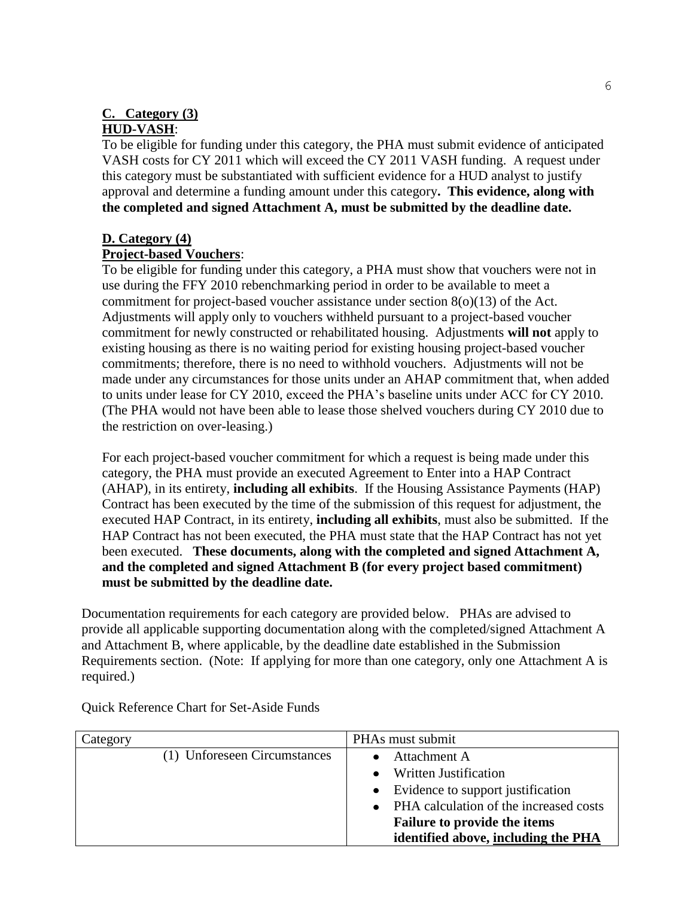# **C. Category (3)**

### **HUD-VASH**:

To be eligible for funding under this category, the PHA must submit evidence of anticipated VASH costs for CY 2011 which will exceed the CY 2011 VASH funding. A request under this category must be substantiated with sufficient evidence for a HUD analyst to justify approval and determine a funding amount under this category**. This evidence, along with the completed and signed Attachment A, must be submitted by the deadline date.**

### **D. Category (4)**

### **Project-based Vouchers**:

To be eligible for funding under this category, a PHA must show that vouchers were not in use during the FFY 2010 rebenchmarking period in order to be available to meet a commitment for project-based voucher assistance under section  $8(0)(13)$  of the Act. Adjustments will apply only to vouchers withheld pursuant to a project-based voucher commitment for newly constructed or rehabilitated housing. Adjustments **will not** apply to existing housing as there is no waiting period for existing housing project-based voucher commitments; therefore, there is no need to withhold vouchers. Adjustments will not be made under any circumstances for those units under an AHAP commitment that, when added to units under lease for CY 2010, exceed the PHA's baseline units under ACC for CY 2010. (The PHA would not have been able to lease those shelved vouchers during CY 2010 due to the restriction on over-leasing.)

For each project-based voucher commitment for which a request is being made under this category, the PHA must provide an executed Agreement to Enter into a HAP Contract (AHAP), in its entirety, **including all exhibits**. If the Housing Assistance Payments (HAP) Contract has been executed by the time of the submission of this request for adjustment, the executed HAP Contract, in its entirety, **including all exhibits**, must also be submitted. If the HAP Contract has not been executed, the PHA must state that the HAP Contract has not yet been executed. **These documents, along with the completed and signed Attachment A, and the completed and signed Attachment B (for every project based commitment) must be submitted by the deadline date.**

Documentation requirements for each category are provided below. PHAs are advised to provide all applicable supporting documentation along with the completed/signed Attachment A and Attachment B, where applicable, by the deadline date established in the Submission Requirements section. (Note: If applying for more than one category, only one Attachment A is required.)

| Category                     | PHAs must submit                       |
|------------------------------|----------------------------------------|
| (1) Unforeseen Circumstances | Attachment A                           |
|                              | <b>Written Justification</b>           |
|                              | • Evidence to support justification    |
|                              | PHA calculation of the increased costs |
|                              | Failure to provide the items           |
|                              | identified above, including the PHA    |

Quick Reference Chart for Set-Aside Funds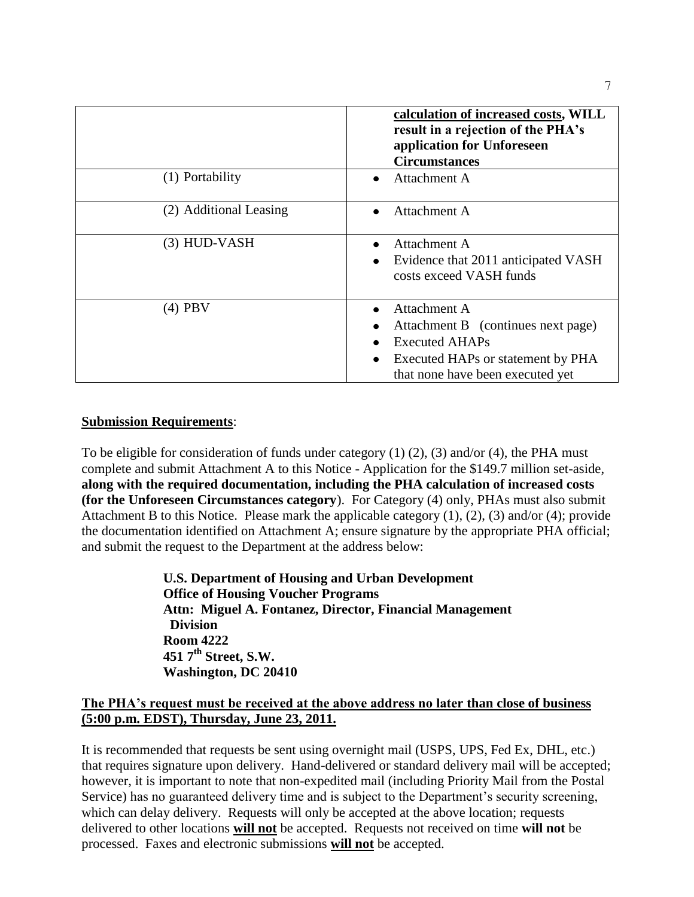|                        | calculation of increased costs, WILL<br>result in a rejection of the PHA's<br>application for Unforeseen<br><b>Circumstances</b>                                  |
|------------------------|-------------------------------------------------------------------------------------------------------------------------------------------------------------------|
| (1) Portability        | Attachment A<br>$\bullet$                                                                                                                                         |
| (2) Additional Leasing | Attachment A                                                                                                                                                      |
| $(3)$ HUD-VASH         | Attachment A<br>Evidence that 2011 anticipated VASH<br>٠<br>costs exceed VASH funds                                                                               |
| $(4)$ PBV              | Attachment A<br>Attachment B (continues next page)<br><b>Executed AHAPs</b><br>Executed HAPs or statement by PHA<br>$\bullet$<br>that none have been executed yet |

### **Submission Requirements**:

To be eligible for consideration of funds under category (1) (2), (3) and/or (4), the PHA must complete and submit Attachment A to this Notice - Application for the \$149.7 million set-aside, **along with the required documentation, including the PHA calculation of increased costs (for the Unforeseen Circumstances category**). For Category (4) only, PHAs must also submit Attachment B to this Notice. Please mark the applicable category (1), (2), (3) and/or (4); provide the documentation identified on Attachment A; ensure signature by the appropriate PHA official; and submit the request to the Department at the address below:

> **U.S. Department of Housing and Urban Development Office of Housing Voucher Programs Attn: Miguel A. Fontanez, Director, Financial Management Division Room 4222 451 7th Street, S.W. Washington, DC 20410**

### **The PHA's request must be received at the above address no later than close of business (5:00 p.m. EDST), Thursday, June 23, 2011.**

It is recommended that requests be sent using overnight mail (USPS, UPS, Fed Ex, DHL, etc.) that requires signature upon delivery. Hand-delivered or standard delivery mail will be accepted; however, it is important to note that non-expedited mail (including Priority Mail from the Postal Service) has no guaranteed delivery time and is subject to the Department's security screening, which can delay delivery. Requests will only be accepted at the above location; requests delivered to other locations **will not** be accepted.Requests not received on time **will not** be processed. Faxes and electronic submissions **will not** be accepted.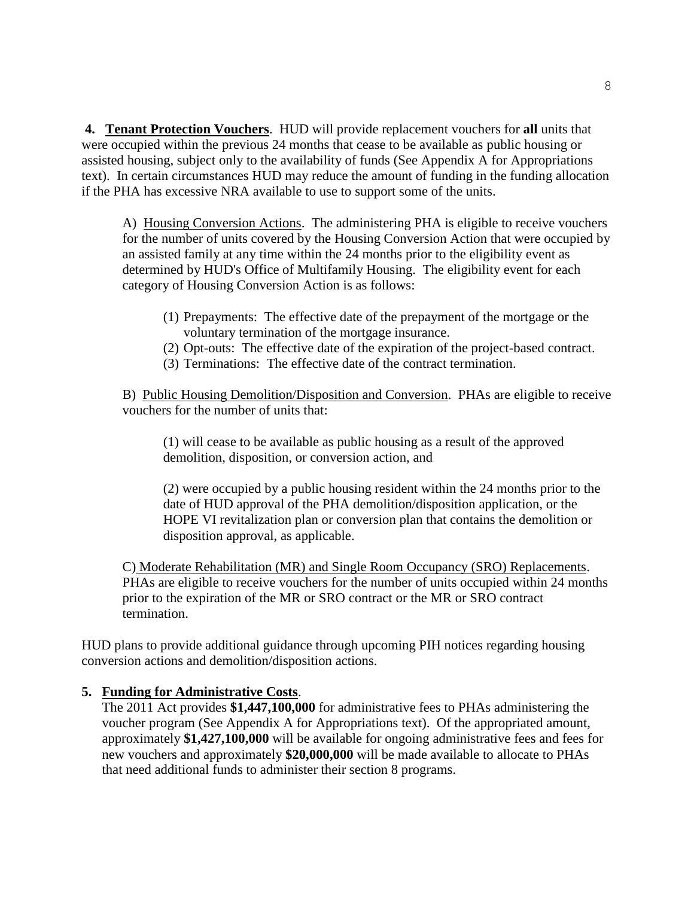**4. Tenant Protection Vouchers**. HUD will provide replacement vouchers for **all** units that were occupied within the previous 24 months that cease to be available as public housing or assisted housing, subject only to the availability of funds (See Appendix A for Appropriations text). In certain circumstances HUD may reduce the amount of funding in the funding allocation if the PHA has excessive NRA available to use to support some of the units.

A) Housing Conversion Actions. The administering PHA is eligible to receive vouchers for the number of units covered by the Housing Conversion Action that were occupied by an assisted family at any time within the 24 months prior to the eligibility event as determined by HUD's Office of Multifamily Housing. The eligibility event for each category of Housing Conversion Action is as follows:

- (1) Prepayments: The effective date of the prepayment of the mortgage or the voluntary termination of the mortgage insurance.
- (2) Opt-outs: The effective date of the expiration of the project-based contract.
- (3) Terminations: The effective date of the contract termination.

B) Public Housing Demolition/Disposition and Conversion. PHAs are eligible to receive vouchers for the number of units that:

(1) will cease to be available as public housing as a result of the approved demolition, disposition, or conversion action, and

(2) were occupied by a public housing resident within the 24 months prior to the date of HUD approval of the PHA demolition/disposition application, or the HOPE VI revitalization plan or conversion plan that contains the demolition or disposition approval, as applicable.

C) Moderate Rehabilitation (MR) and Single Room Occupancy (SRO) Replacements. PHAs are eligible to receive vouchers for the number of units occupied within 24 months prior to the expiration of the MR or SRO contract or the MR or SRO contract termination.

HUD plans to provide additional guidance through upcoming PIH notices regarding housing conversion actions and demolition/disposition actions.

### **5. Funding for Administrative Costs**.

The 2011 Act provides **\$1,447,100,000** for administrative fees to PHAs administering the voucher program (See Appendix A for Appropriations text). Of the appropriated amount, approximately **\$1,427,100,000** will be available for ongoing administrative fees and fees for new vouchers and approximately **\$20,000,000** will be made available to allocate to PHAs that need additional funds to administer their section 8 programs.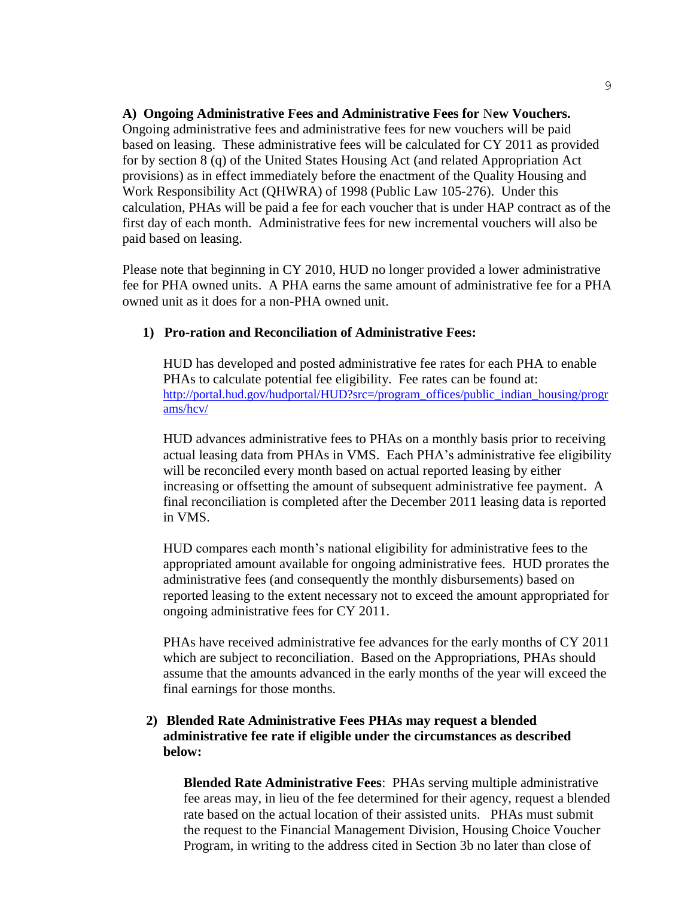#### **A) Ongoing Administrative Fees and Administrative Fees for** N**ew Vouchers.**

 Ongoing administrative fees and administrative fees for new vouchers will be paid based on leasing. These administrative fees will be calculated for CY 2011 as provided for by section 8 (q) of the United States Housing Act (and related Appropriation Act provisions) as in effect immediately before the enactment of the Quality Housing and Work Responsibility Act (QHWRA) of 1998 (Public Law 105-276). Under this calculation, PHAs will be paid a fee for each voucher that is under HAP contract as of the first day of each month. Administrative fees for new incremental vouchers will also be paid based on leasing.

Please note that beginning in CY 2010, HUD no longer provided a lower administrative fee for PHA owned units. A PHA earns the same amount of administrative fee for a PHA owned unit as it does for a non-PHA owned unit.

### **1) Pro-ration and Reconciliation of Administrative Fees:**

HUD has developed and posted administrative fee rates for each PHA to enable PHAs to calculate potential fee eligibility. Fee rates can be found at: [http://portal.hud.gov/hudportal/HUD?src=/program\\_offices/public\\_indian\\_housing/progr](http://portal.hud.gov/hudportal/HUD?src=/program_offices/public_indian_housing/programs/hcv/) [ams/hcv/](http://portal.hud.gov/hudportal/HUD?src=/program_offices/public_indian_housing/programs/hcv/)

HUD advances administrative fees to PHAs on a monthly basis prior to receiving actual leasing data from PHAs in VMS. Each PHA's administrative fee eligibility will be reconciled every month based on actual reported leasing by either increasing or offsetting the amount of subsequent administrative fee payment. A final reconciliation is completed after the December 2011 leasing data is reported in VMS.

HUD compares each month's national eligibility for administrative fees to the appropriated amount available for ongoing administrative fees. HUD prorates the administrative fees (and consequently the monthly disbursements) based on reported leasing to the extent necessary not to exceed the amount appropriated for ongoing administrative fees for CY 2011.

PHAs have received administrative fee advances for the early months of CY 2011 which are subject to reconciliation. Based on the Appropriations, PHAs should assume that the amounts advanced in the early months of the year will exceed the final earnings for those months.

### **2) Blended Rate Administrative Fees PHAs may request a blended administrative fee rate if eligible under the circumstances as described below:**

**Blended Rate Administrative Fees**: PHAs serving multiple administrative fee areas may, in lieu of the fee determined for their agency, request a blended rate based on the actual location of their assisted units. PHAs must submit the request to the Financial Management Division, Housing Choice Voucher Program, in writing to the address cited in Section 3b no later than close of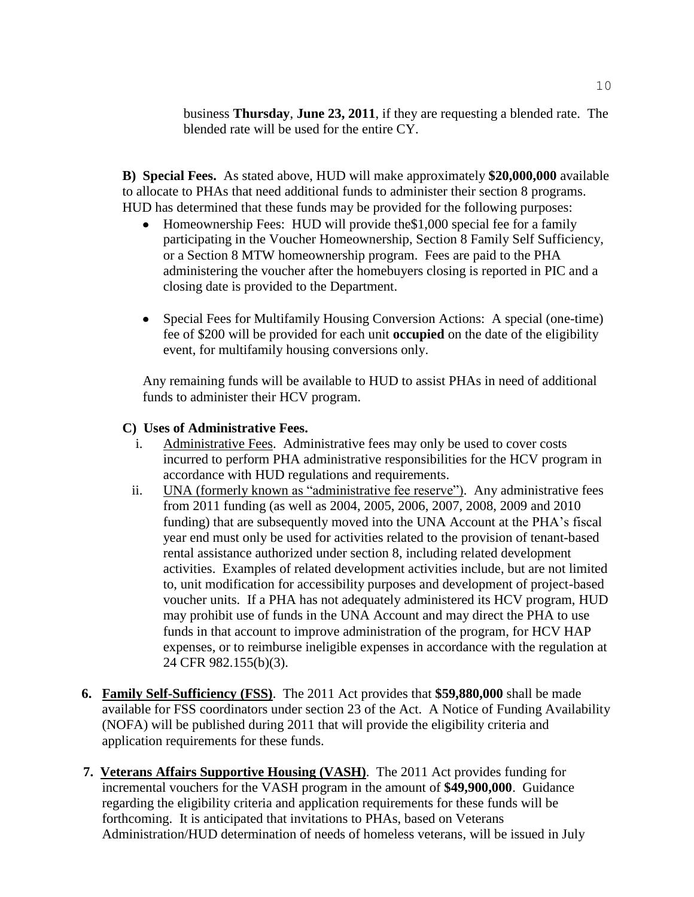business **Thursday**, **June 23, 2011**, if they are requesting a blended rate. The blended rate will be used for the entire CY.

**B) Special Fees.** As stated above, HUD will make approximately **\$20,000,000** available to allocate to PHAs that need additional funds to administer their section 8 programs. HUD has determined that these funds may be provided for the following purposes:

- Homeownership Fees: HUD will provide the\$1,000 special fee for a family  $\bullet$ participating in the Voucher Homeownership, Section 8 Family Self Sufficiency, or a Section 8 MTW homeownership program. Fees are paid to the PHA administering the voucher after the homebuyers closing is reported in PIC and a closing date is provided to the Department.
- Special Fees for Multifamily Housing Conversion Actions: A special (one-time) fee of \$200 will be provided for each unit **occupied** on the date of the eligibility event, for multifamily housing conversions only.

Any remaining funds will be available to HUD to assist PHAs in need of additional funds to administer their HCV program.

### **C) Uses of Administrative Fees.**

- i. Administrative Fees. Administrative fees may only be used to cover costs incurred to perform PHA administrative responsibilities for the HCV program in accordance with HUD regulations and requirements.
- ii. UNA (formerly known as "administrative fee reserve"). Any administrative fees from 2011 funding (as well as 2004, 2005, 2006, 2007, 2008, 2009 and 2010 funding) that are subsequently moved into the UNA Account at the PHA's fiscal year end must only be used for activities related to the provision of tenant-based rental assistance authorized under section 8, including related development activities. Examples of related development activities include, but are not limited to, unit modification for accessibility purposes and development of project-based voucher units. If a PHA has not adequately administered its HCV program, HUD may prohibit use of funds in the UNA Account and may direct the PHA to use funds in that account to improve administration of the program, for HCV HAP expenses, or to reimburse ineligible expenses in accordance with the regulation at 24 CFR 982.155(b)(3).
- **6. Family Self-Sufficiency (FSS)**. The 2011 Act provides that **\$59,880,000** shall be made available for FSS coordinators under section 23 of the Act. A Notice of Funding Availability (NOFA) will be published during 2011 that will provide the eligibility criteria and application requirements for these funds.
- **7. Veterans Affairs Supportive Housing (VASH)**. The 2011 Act provides funding for incremental vouchers for the VASH program in the amount of **\$49,900,000**. Guidance regarding the eligibility criteria and application requirements for these funds will be forthcoming. It is anticipated that invitations to PHAs, based on Veterans Administration/HUD determination of needs of homeless veterans, will be issued in July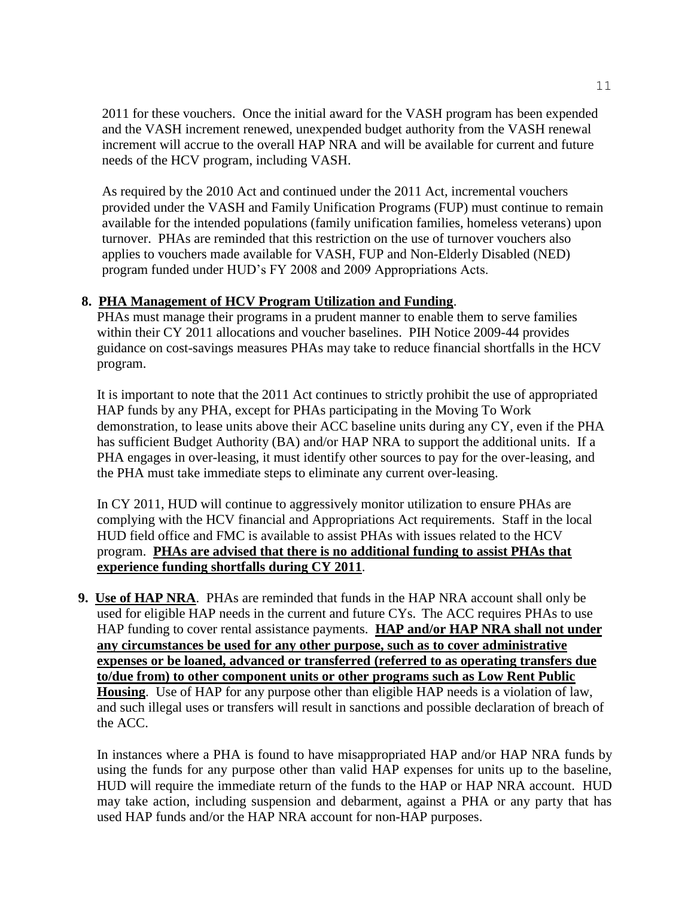2011 for these vouchers. Once the initial award for the VASH program has been expended and the VASH increment renewed, unexpended budget authority from the VASH renewal increment will accrue to the overall HAP NRA and will be available for current and future needs of the HCV program, including VASH.

As required by the 2010 Act and continued under the 2011 Act, incremental vouchers provided under the VASH and Family Unification Programs (FUP) must continue to remain available for the intended populations (family unification families, homeless veterans) upon turnover. PHAs are reminded that this restriction on the use of turnover vouchers also applies to vouchers made available for VASH, FUP and Non-Elderly Disabled (NED) program funded under HUD's FY 2008 and 2009 Appropriations Acts.

### **8. PHA Management of HCV Program Utilization and Funding**.

PHAs must manage their programs in a prudent manner to enable them to serve families within their CY 2011 allocations and voucher baselines. PIH Notice 2009-44 provides guidance on cost-savings measures PHAs may take to reduce financial shortfalls in the HCV program.

It is important to note that the 2011 Act continues to strictly prohibit the use of appropriated HAP funds by any PHA, except for PHAs participating in the Moving To Work demonstration, to lease units above their ACC baseline units during any CY, even if the PHA has sufficient Budget Authority (BA) and/or HAP NRA to support the additional units. If a PHA engages in over-leasing, it must identify other sources to pay for the over-leasing, and the PHA must take immediate steps to eliminate any current over-leasing.

In CY 2011, HUD will continue to aggressively monitor utilization to ensure PHAs are complying with the HCV financial and Appropriations Act requirements. Staff in the local HUD field office and FMC is available to assist PHAs with issues related to the HCV program. **PHAs are advised that there is no additional funding to assist PHAs that experience funding shortfalls during CY 2011**.

 **9. Use of HAP NRA**.PHAs are reminded that funds in the HAP NRA account shall only be used for eligible HAP needs in the current and future CYs. The ACC requires PHAs to use HAP funding to cover rental assistance payments. **HAP and/or HAP NRA shall not under any circumstances be used for any other purpose, such as to cover administrative expenses or be loaned, advanced or transferred (referred to as operating transfers due to/due from) to other component units or other programs such as Low Rent Public Housing**. Use of HAP for any purpose other than eligible HAP needs is a violation of law, and such illegal uses or transfers will result in sanctions and possible declaration of breach of the ACC.

In instances where a PHA is found to have misappropriated HAP and/or HAP NRA funds by using the funds for any purpose other than valid HAP expenses for units up to the baseline, HUD will require the immediate return of the funds to the HAP or HAP NRA account. HUD may take action, including suspension and debarment, against a PHA or any party that has used HAP funds and/or the HAP NRA account for non-HAP purposes.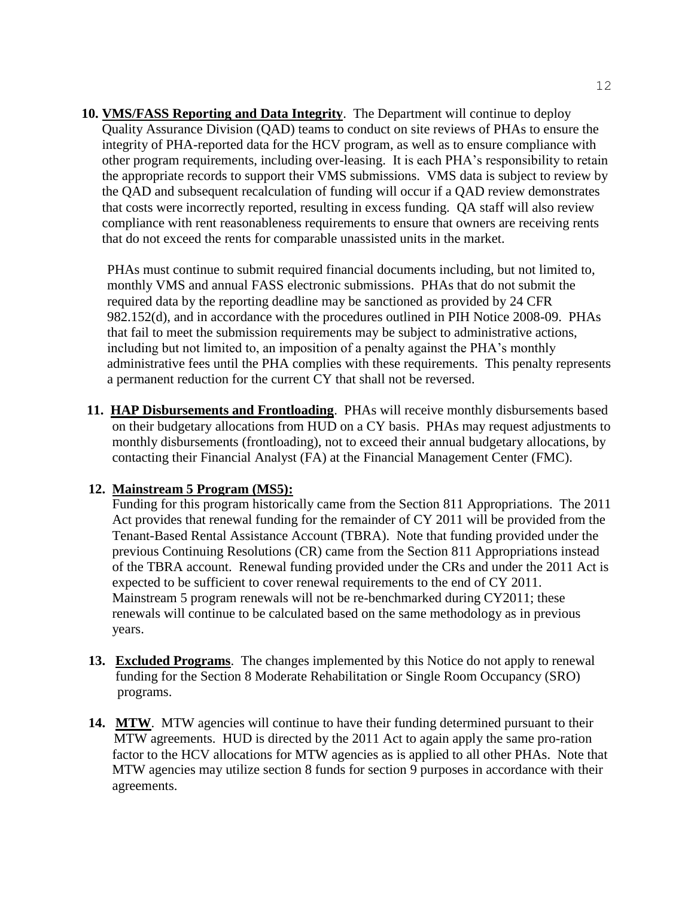**10. VMS/FASS Reporting and Data Integrity**. The Department will continue to deploy Quality Assurance Division (QAD) teams to conduct on site reviews of PHAs to ensure the integrity of PHA-reported data for the HCV program, as well as to ensure compliance with other program requirements, including over-leasing. It is each PHA's responsibility to retain the appropriate records to support their VMS submissions. VMS data is subject to review by the QAD and subsequent recalculation of funding will occur if a QAD review demonstrates that costs were incorrectly reported, resulting in excess funding. QA staff will also review compliance with rent reasonableness requirements to ensure that owners are receiving rents that do not exceed the rents for comparable unassisted units in the market.

PHAs must continue to submit required financial documents including, but not limited to, monthly VMS and annual FASS electronic submissions. PHAs that do not submit the required data by the reporting deadline may be sanctioned as provided by 24 CFR 982.152(d), and in accordance with the procedures outlined in PIH Notice 2008-09. PHAs that fail to meet the submission requirements may be subject to administrative actions, including but not limited to, an imposition of a penalty against the PHA's monthly administrative fees until the PHA complies with these requirements. This penalty represents a permanent reduction for the current CY that shall not be reversed.

**11. HAP Disbursements and Frontloading**.PHAs will receive monthly disbursements based on their budgetary allocations from HUD on a CY basis. PHAs may request adjustments to monthly disbursements (frontloading), not to exceed their annual budgetary allocations, by contacting their Financial Analyst (FA) at the Financial Management Center (FMC).

### **12. Mainstream 5 Program (MS5):**

Funding for this program historically came from the Section 811 Appropriations. The 2011 Act provides that renewal funding for the remainder of CY 2011 will be provided from the Tenant-Based Rental Assistance Account (TBRA). Note that funding provided under the previous Continuing Resolutions (CR) came from the Section 811 Appropriations instead of the TBRA account. Renewal funding provided under the CRs and under the 2011 Act is expected to be sufficient to cover renewal requirements to the end of CY 2011. Mainstream 5 program renewals will not be re-benchmarked during CY2011; these renewals will continue to be calculated based on the same methodology as in previous years.

- **13. Excluded Programs**. The changes implemented by this Notice do not apply to renewal funding for the Section 8 Moderate Rehabilitation or Single Room Occupancy (SRO) programs.
- 14. MTW. MTW agencies will continue to have their funding determined pursuant to their MTW agreements. HUD is directed by the 2011 Act to again apply the same pro-ration factor to the HCV allocations for MTW agencies as is applied to all other PHAs. Note that MTW agencies may utilize section 8 funds for section 9 purposes in accordance with their agreements.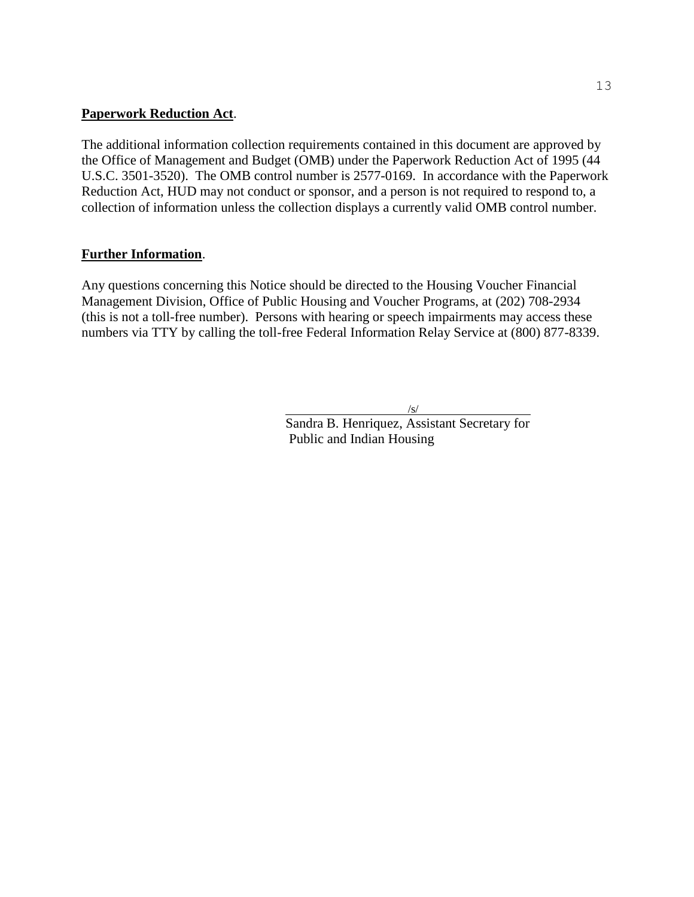#### **Paperwork Reduction Act**.

The additional information collection requirements contained in this document are approved by the Office of Management and Budget (OMB) under the Paperwork Reduction Act of 1995 (44 U.S.C. 3501-3520). The OMB control number is 2577-0169. In accordance with the Paperwork Reduction Act, HUD may not conduct or sponsor, and a person is not required to respond to, a collection of information unless the collection displays a currently valid OMB control number.

### **Further Information**.

Any questions concerning this Notice should be directed to the Housing Voucher Financial Management Division, Office of Public Housing and Voucher Programs, at (202) 708-2934 (this is not a toll-free number). Persons with hearing or speech impairments may access these numbers via TTY by calling the toll-free Federal Information Relay Service at (800) 877-8339.

/s/

Sandra B. Henriquez, Assistant Secretary for Public and Indian Housing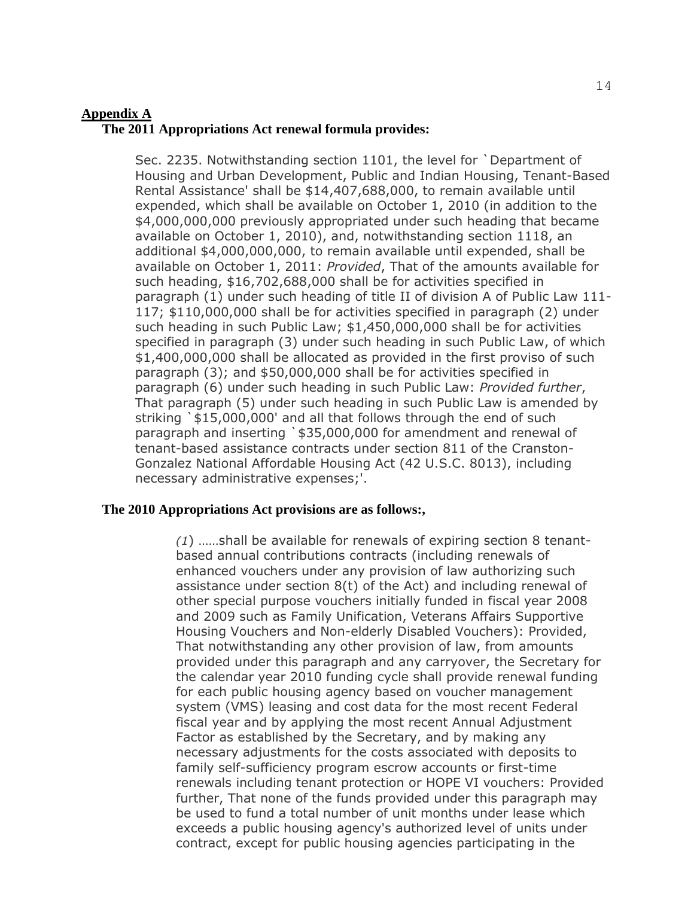#### **Appendix A**

#### **The 2011 Appropriations Act renewal formula provides:**

Sec. 2235. Notwithstanding section 1101, the level for `Department of Housing and Urban Development, Public and Indian Housing, Tenant-Based Rental Assistance' shall be \$14,407,688,000, to remain available until expended, which shall be available on October 1, 2010 (in addition to the \$4,000,000,000 previously appropriated under such heading that became available on October 1, 2010), and, notwithstanding section 1118, an additional \$4,000,000,000, to remain available until expended, shall be available on October 1, 2011: *Provided*, That of the amounts available for such heading, \$16,702,688,000 shall be for activities specified in paragraph (1) under such heading of title II of division A of Public Law 111- 117; \$110,000,000 shall be for activities specified in paragraph (2) under such heading in such Public Law; \$1,450,000,000 shall be for activities specified in paragraph (3) under such heading in such Public Law, of which \$1,400,000,000 shall be allocated as provided in the first proviso of such paragraph (3); and \$50,000,000 shall be for activities specified in paragraph (6) under such heading in such Public Law: *Provided further*, That paragraph (5) under such heading in such Public Law is amended by striking `\$15,000,000' and all that follows through the end of such paragraph and inserting `\$35,000,000 for amendment and renewal of tenant-based assistance contracts under section 811 of the Cranston-Gonzalez National Affordable Housing Act (42 U.S.C. 8013), including necessary administrative expenses;'.

### **The 2010 Appropriations Act provisions are as follows:,**

*(1*) ……shall be available for renewals of expiring section 8 tenantbased annual contributions contracts (including renewals of enhanced vouchers under any provision of law authorizing such assistance under section 8(t) of the Act) and including renewal of other special purpose vouchers initially funded in fiscal year 2008 and 2009 such as Family Unification, Veterans Affairs Supportive Housing Vouchers and Non-elderly Disabled Vouchers): Provided, That notwithstanding any other provision of law, from amounts provided under this paragraph and any carryover, the Secretary for the calendar year 2010 funding cycle shall provide renewal funding for each public housing agency based on voucher management system (VMS) leasing and cost data for the most recent Federal fiscal year and by applying the most recent Annual Adjustment Factor as established by the Secretary, and by making any necessary adjustments for the costs associated with deposits to family self-sufficiency program escrow accounts or first-time renewals including tenant protection or HOPE VI vouchers: Provided further, That none of the funds provided under this paragraph may be used to fund a total number of unit months under lease which exceeds a public housing agency's authorized level of units under contract, except for public housing agencies participating in the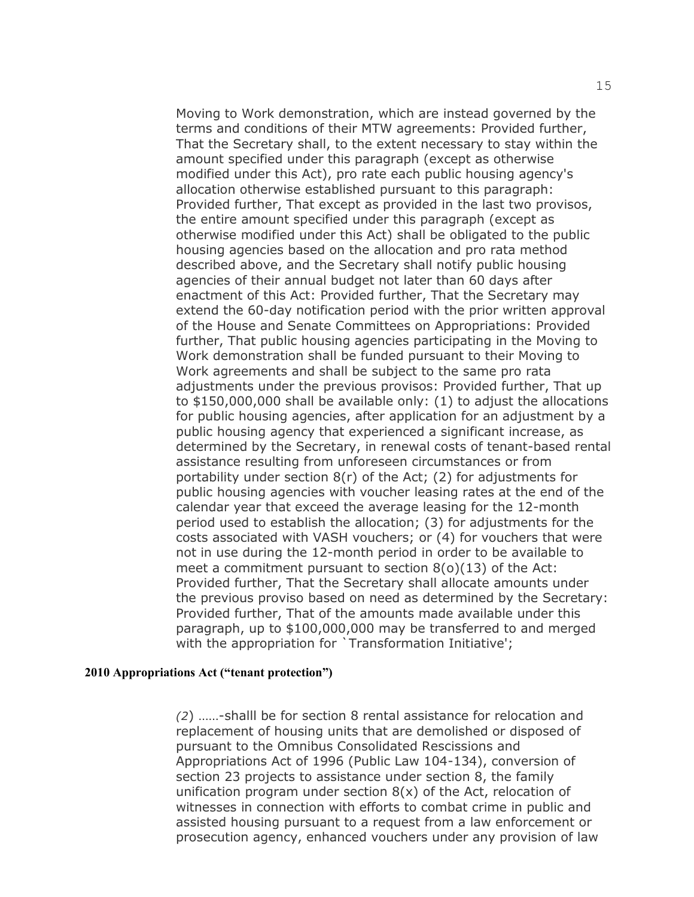Moving to Work demonstration, which are instead governed by the terms and conditions of their MTW agreements: Provided further, That the Secretary shall, to the extent necessary to stay within the amount specified under this paragraph (except as otherwise modified under this Act), pro rate each public housing agency's allocation otherwise established pursuant to this paragraph: Provided further, That except as provided in the last two provisos, the entire amount specified under this paragraph (except as otherwise modified under this Act) shall be obligated to the public housing agencies based on the allocation and pro rata method described above, and the Secretary shall notify public housing agencies of their annual budget not later than 60 days after enactment of this Act: Provided further, That the Secretary may extend the 60-day notification period with the prior written approval of the House and Senate Committees on Appropriations: Provided further, That public housing agencies participating in the Moving to Work demonstration shall be funded pursuant to their Moving to Work agreements and shall be subject to the same pro rata adjustments under the previous provisos: Provided further, That up to \$150,000,000 shall be available only: (1) to adjust the allocations for public housing agencies, after application for an adjustment by a public housing agency that experienced a significant increase, as determined by the Secretary, in renewal costs of tenant-based rental assistance resulting from unforeseen circumstances or from portability under section 8(r) of the Act; (2) for adjustments for public housing agencies with voucher leasing rates at the end of the calendar year that exceed the average leasing for the 12-month period used to establish the allocation; (3) for adjustments for the costs associated with VASH vouchers; or (4) for vouchers that were not in use during the 12-month period in order to be available to meet a commitment pursuant to section 8(o)(13) of the Act: Provided further, That the Secretary shall allocate amounts under the previous proviso based on need as determined by the Secretary: Provided further, That of the amounts made available under this paragraph, up to \$100,000,000 may be transferred to and merged with the appropriation for `Transformation Initiative';

#### **2010 Appropriations Act ("tenant protection")**

*(2*) ……-shalll be for section 8 rental assistance for relocation and replacement of housing units that are demolished or disposed of pursuant to the Omnibus Consolidated Rescissions and Appropriations Act of 1996 (Public Law 104-134), conversion of section 23 projects to assistance under section 8, the family unification program under section 8(x) of the Act, relocation of witnesses in connection with efforts to combat crime in public and assisted housing pursuant to a request from a law enforcement or prosecution agency, enhanced vouchers under any provision of law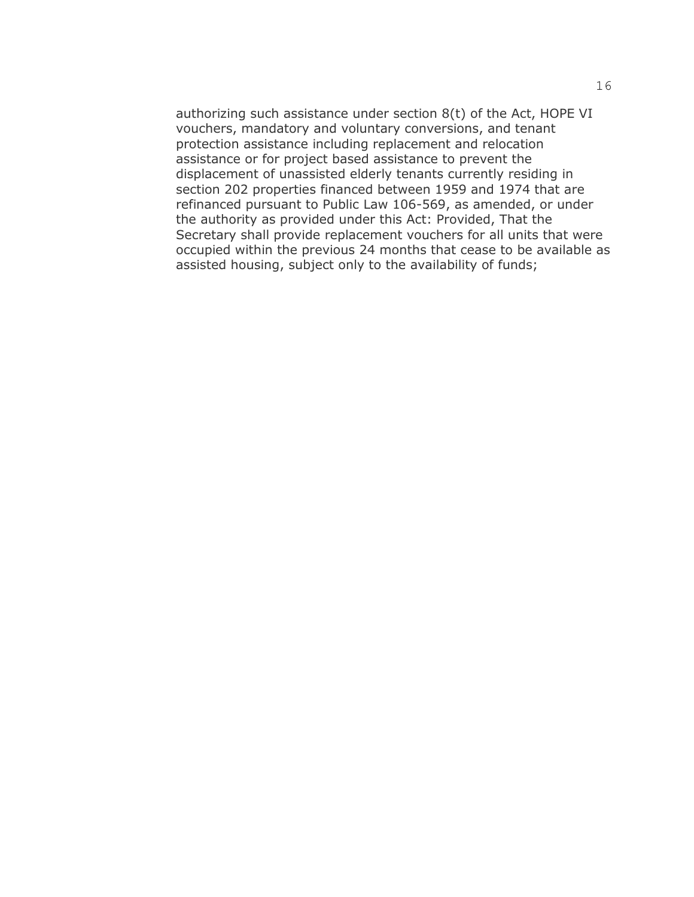authorizing such assistance under section 8(t) of the Act, HOPE VI vouchers, mandatory and voluntary conversions, and tenant protection assistance including replacement and relocation assistance or for project based assistance to prevent the displacement of unassisted elderly tenants currently residing in section 202 properties financed between 1959 and 1974 that are refinanced pursuant to Public Law 106-569, as amended, or under the authority as provided under this Act: Provided, That the Secretary shall provide replacement vouchers for all units that were occupied within the previous 24 months that cease to be available as assisted housing, subject only to the availability of funds;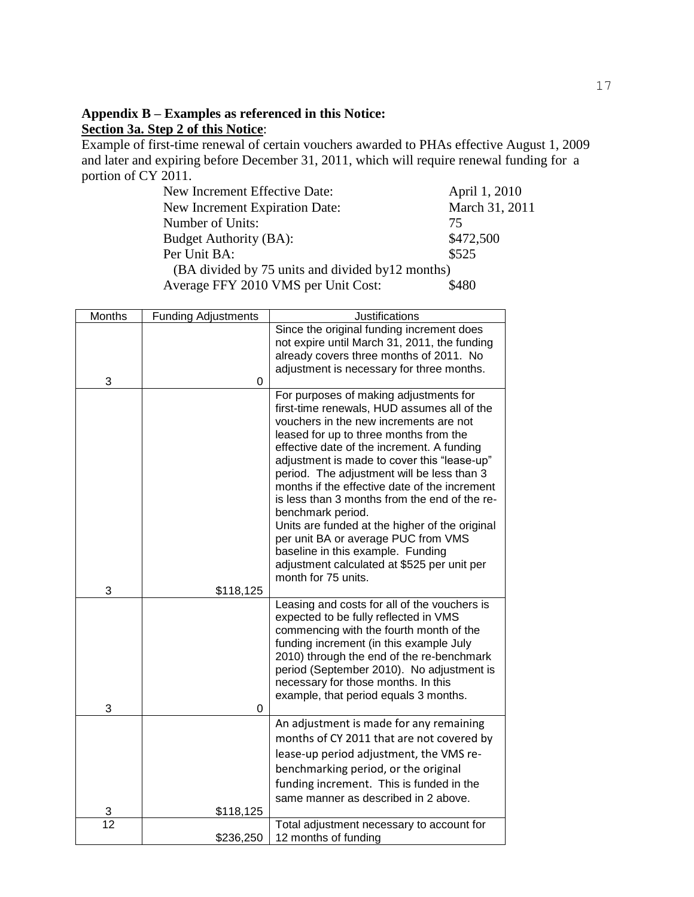# **Appendix B – Examples as referenced in this Notice: Section 3a. Step 2 of this Notice**:

Example of first-time renewal of certain vouchers awarded to PHAs effective August 1, 2009 and later and expiring before December 31, 2011, which will require renewal funding for a portion of CY 2011.

| New Increment Effective Date:                     | April 1, 2010  |
|---------------------------------------------------|----------------|
| New Increment Expiration Date:                    | March 31, 2011 |
| Number of Units:                                  | 75             |
| Budget Authority (BA):                            | \$472,500      |
| Per Unit BA:                                      | \$525          |
| (BA divided by 75 units and divided by 12 months) |                |
| Average FFY 2010 VMS per Unit Cost:               | \$480          |

| Months          | <b>Funding Adjustments</b> | Justifications                                                                              |
|-----------------|----------------------------|---------------------------------------------------------------------------------------------|
|                 |                            | Since the original funding increment does                                                   |
|                 |                            | not expire until March 31, 2011, the funding                                                |
|                 |                            | already covers three months of 2011. No                                                     |
| 3               | 0                          | adjustment is necessary for three months.                                                   |
|                 |                            | For purposes of making adjustments for                                                      |
|                 |                            | first-time renewals, HUD assumes all of the                                                 |
|                 |                            | vouchers in the new increments are not                                                      |
|                 |                            | leased for up to three months from the                                                      |
|                 |                            | effective date of the increment. A funding                                                  |
|                 |                            | adjustment is made to cover this "lease-up"                                                 |
|                 |                            | period. The adjustment will be less than 3<br>months if the effective date of the increment |
|                 |                            | is less than 3 months from the end of the re-                                               |
|                 |                            | benchmark period.                                                                           |
|                 |                            | Units are funded at the higher of the original                                              |
|                 |                            | per unit BA or average PUC from VMS                                                         |
|                 |                            | baseline in this example. Funding                                                           |
|                 |                            | adjustment calculated at \$525 per unit per                                                 |
| 3               |                            | month for 75 units.                                                                         |
|                 | \$118,125                  | Leasing and costs for all of the vouchers is                                                |
|                 |                            | expected to be fully reflected in VMS                                                       |
|                 |                            | commencing with the fourth month of the                                                     |
|                 |                            | funding increment (in this example July                                                     |
|                 |                            | 2010) through the end of the re-benchmark                                                   |
|                 |                            | period (September 2010). No adjustment is                                                   |
|                 |                            | necessary for those months. In this                                                         |
| 3               | $\mathbf 0$                | example, that period equals 3 months.                                                       |
|                 |                            | An adjustment is made for any remaining                                                     |
|                 |                            | months of CY 2011 that are not covered by                                                   |
|                 |                            | lease-up period adjustment, the VMS re-                                                     |
|                 |                            | benchmarking period, or the original                                                        |
|                 |                            | funding increment. This is funded in the                                                    |
|                 |                            | same manner as described in 2 above.                                                        |
| 3               | \$118,125                  |                                                                                             |
| $\overline{12}$ |                            | Total adjustment necessary to account for                                                   |
|                 | \$236,250                  | 12 months of funding                                                                        |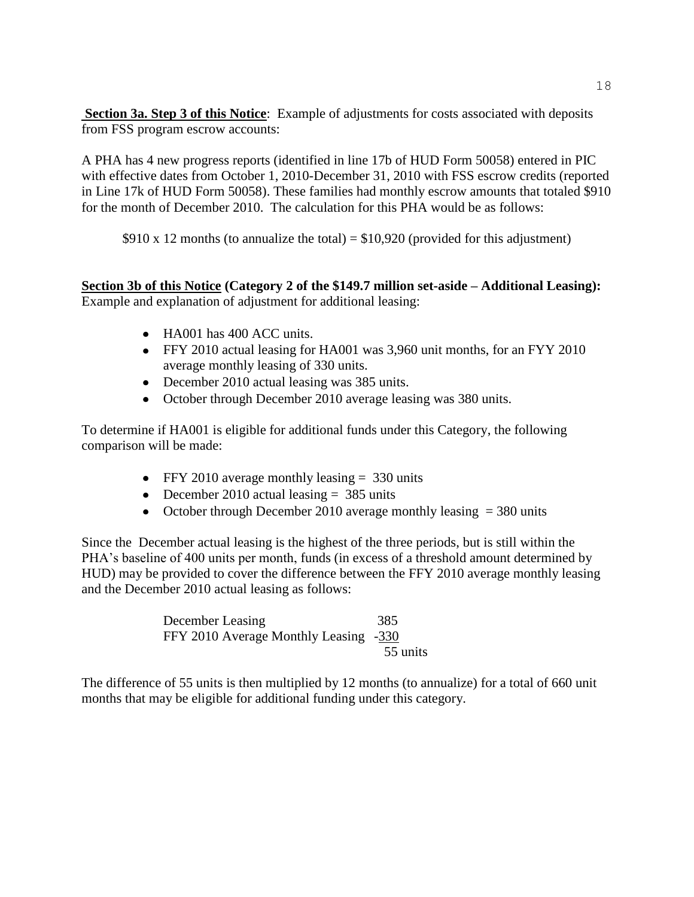**Section 3a. Step 3 of this Notice**: Example of adjustments for costs associated with deposits from FSS program escrow accounts:

A PHA has 4 new progress reports (identified in line 17b of HUD Form 50058) entered in PIC with effective dates from October 1, 2010-December 31, 2010 with FSS escrow credits (reported in Line 17k of HUD Form 50058). These families had monthly escrow amounts that totaled \$910 for the month of December 2010. The calculation for this PHA would be as follows:

\$910 x 12 months (to annualize the total) =  $$10,920$  (provided for this adjustment)

### **Section 3b of this Notice (Category 2 of the \$149.7 million set-aside – Additional Leasing):** Example and explanation of adjustment for additional leasing:

- HA001 has 400 ACC units.
- FFY 2010 actual leasing for HA001 was 3,960 unit months, for an FYY 2010 average monthly leasing of 330 units.
- December 2010 actual leasing was 385 units.
- October through December 2010 average leasing was 380 units.

To determine if HA001 is eligible for additional funds under this Category, the following comparison will be made:

- FFY 2010 average monthly leasing = 330 units
- December 2010 actual leasing  $= 385$  units
- October through December 2010 average monthly leasing  $=$  380 units

Since the December actual leasing is the highest of the three periods, but is still within the PHA's baseline of 400 units per month, funds (in excess of a threshold amount determined by HUD) may be provided to cover the difference between the FFY 2010 average monthly leasing and the December 2010 actual leasing as follows:

> December Leasing 385 FFY 2010 Average Monthly Leasing -330 55 units

The difference of 55 units is then multiplied by 12 months (to annualize) for a total of 660 unit months that may be eligible for additional funding under this category.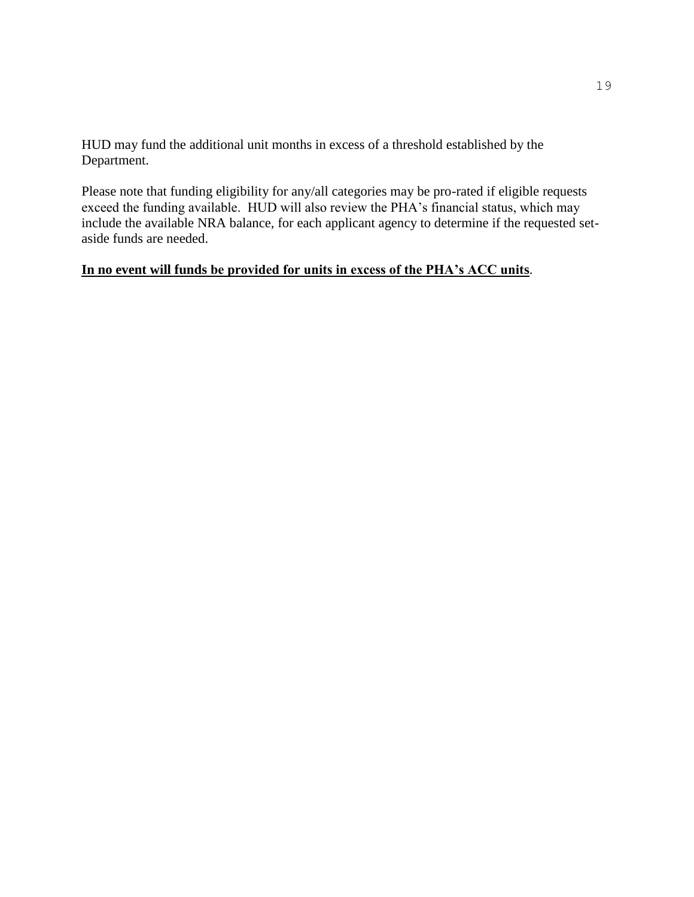HUD may fund the additional unit months in excess of a threshold established by the Department.

Please note that funding eligibility for any/all categories may be pro-rated if eligible requests exceed the funding available. HUD will also review the PHA's financial status, which may include the available NRA balance, for each applicant agency to determine if the requested setaside funds are needed.

# **In no event will funds be provided for units in excess of the PHA's ACC units**.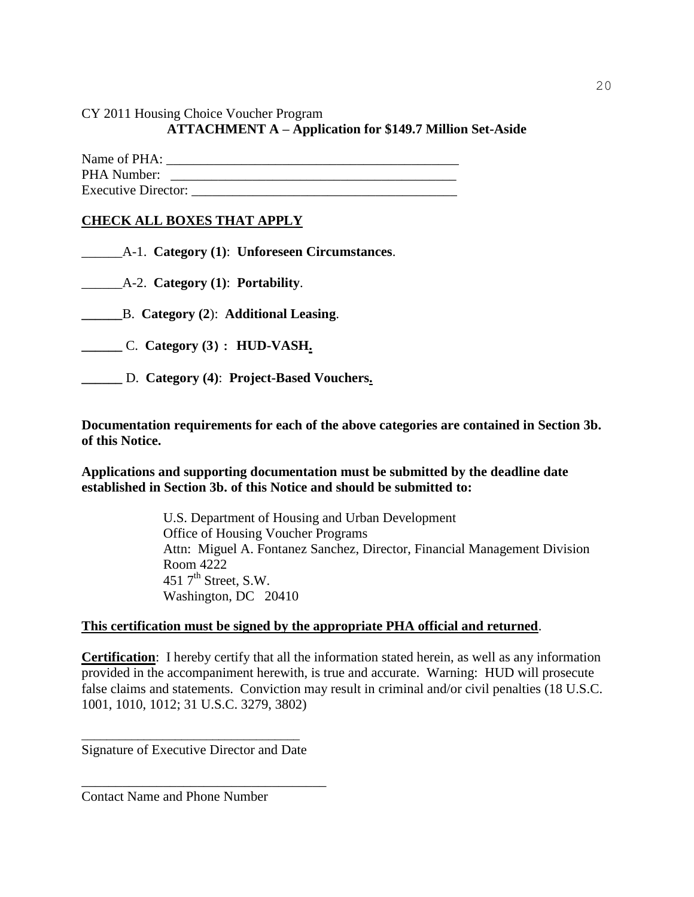CY 2011 Housing Choice Voucher Program

### **ATTACHMENT A – Application for \$149.7 Million Set-Aside**

| Name of PHA:               |  |
|----------------------------|--|
| PHA Number:                |  |
| <b>Executive Director:</b> |  |

### **CHECK ALL BOXES THAT APPLY**

\_\_\_\_\_\_A-1. **Category (1)**: **Unforeseen Circumstances**.

\_\_\_\_\_\_A-2. **Category (1)**: **Portability**.

**\_\_\_\_\_\_**B. **Category (2**): **Additional Leasing**.

**\_\_\_\_\_\_** C. **Category (3): HUD-VASH.**

**\_\_\_\_\_\_** D. **Category (4)**: **Project-Based Vouchers.**

**Documentation requirements for each of the above categories are contained in Section 3b. of this Notice.** 

**Applications and supporting documentation must be submitted by the deadline date established in Section 3b. of this Notice and should be submitted to:** 

> U.S. Department of Housing and Urban Development Office of Housing Voucher Programs Attn: Miguel A. Fontanez Sanchez, Director, Financial Management Division Room 4222 451  $7<sup>th</sup>$  Street, S.W. Washington, DC 20410

### **This certification must be signed by the appropriate PHA official and returned**.

**Certification**: I hereby certify that all the information stated herein, as well as any information provided in the accompaniment herewith, is true and accurate. Warning: HUD will prosecute false claims and statements. Conviction may result in criminal and/or civil penalties (18 U.S.C. 1001, 1010, 1012; 31 U.S.C. 3279, 3802)

\_\_\_\_\_\_\_\_\_\_\_\_\_\_\_\_\_\_\_\_\_\_\_\_\_\_\_\_\_\_\_\_\_\_\_ Signature of Executive Director and Date

\_\_\_\_\_\_\_\_\_\_\_\_\_\_\_\_\_\_\_\_\_\_\_\_\_\_\_\_\_\_\_\_\_\_\_\_

Contact Name and Phone Number